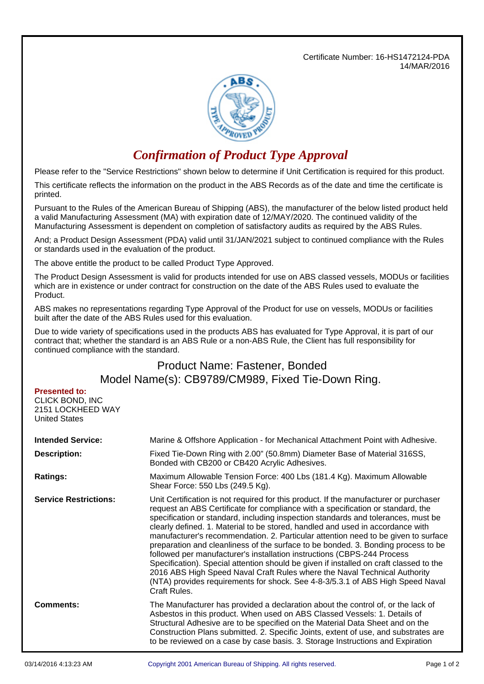Certificate Number: 16-HS1472124-PDA 14/MAR/2016



## *Confirmation of Product Type Approval*

Please refer to the "Service Restrictions" shown below to determine if Unit Certification is required for this product.

This certificate reflects the information on the product in the ABS Records as of the date and time the certificate is printed.

Pursuant to the Rules of the American Bureau of Shipping (ABS), the manufacturer of the below listed product held a valid Manufacturing Assessment (MA) with expiration date of 12/MAY/2020. The continued validity of the Manufacturing Assessment is dependent on completion of satisfactory audits as required by the ABS Rules.

And; a Product Design Assessment (PDA) valid until 31/JAN/2021 subject to continued compliance with the Rules or standards used in the evaluation of the product.

The above entitle the product to be called Product Type Approved.

The Product Design Assessment is valid for products intended for use on ABS classed vessels, MODUs or facilities which are in existence or under contract for construction on the date of the ABS Rules used to evaluate the Product.

ABS makes no representations regarding Type Approval of the Product for use on vessels, MODUs or facilities built after the date of the ABS Rules used for this evaluation.

Due to wide variety of specifications used in the products ABS has evaluated for Type Approval, it is part of our contract that; whether the standard is an ABS Rule or a non-ABS Rule, the Client has full responsibility for continued compliance with the standard.

## Product Name: Fastener, Bonded Model Name(s): CB9789/CM989, Fixed Tie-Down Ring.

| <b>Presented to:</b> |
|----------------------|
| CLICK BOND. INC      |
| 2151 LOCKHEED WAY    |
| <b>United States</b> |

| <b>Intended Service:</b>     | Marine & Offshore Application - for Mechanical Attachment Point with Adhesive.                                                                                                                                                                                                                                                                                                                                                                                                                                                                                                                                                                                                                                                                                                                                                                                                 |  |  |
|------------------------------|--------------------------------------------------------------------------------------------------------------------------------------------------------------------------------------------------------------------------------------------------------------------------------------------------------------------------------------------------------------------------------------------------------------------------------------------------------------------------------------------------------------------------------------------------------------------------------------------------------------------------------------------------------------------------------------------------------------------------------------------------------------------------------------------------------------------------------------------------------------------------------|--|--|
| <b>Description:</b>          | Fixed Tie-Down Ring with 2.00" (50.8mm) Diameter Base of Material 316SS,<br>Bonded with CB200 or CB420 Acrylic Adhesives.                                                                                                                                                                                                                                                                                                                                                                                                                                                                                                                                                                                                                                                                                                                                                      |  |  |
| <b>Ratings:</b>              | Maximum Allowable Tension Force: 400 Lbs (181.4 Kg). Maximum Allowable<br>Shear Force: 550 Lbs (249.5 Kg).                                                                                                                                                                                                                                                                                                                                                                                                                                                                                                                                                                                                                                                                                                                                                                     |  |  |
| <b>Service Restrictions:</b> | Unit Certification is not required for this product. If the manufacturer or purchaser<br>request an ABS Certificate for compliance with a specification or standard, the<br>specification or standard, including inspection standards and tolerances, must be<br>clearly defined. 1. Material to be stored, handled and used in accordance with<br>manufacturer's recommendation. 2. Particular attention need to be given to surface<br>preparation and cleanliness of the surface to be bonded. 3. Bonding process to be<br>followed per manufacturer's installation instructions (CBPS-244 Process<br>Specification). Special attention should be given if installed on craft classed to the<br>2016 ABS High Speed Naval Craft Rules where the Naval Technical Authority<br>(NTA) provides requirements for shock. See 4-8-3/5.3.1 of ABS High Speed Naval<br>Craft Rules. |  |  |
| <b>Comments:</b>             | The Manufacturer has provided a declaration about the control of, or the lack of<br>Asbestos in this product. When used on ABS Classed Vessels: 1. Details of<br>Structural Adhesive are to be specified on the Material Data Sheet and on the<br>Construction Plans submitted. 2. Specific Joints, extent of use, and substrates are<br>to be reviewed on a case by case basis. 3. Storage Instructions and Expiration                                                                                                                                                                                                                                                                                                                                                                                                                                                        |  |  |